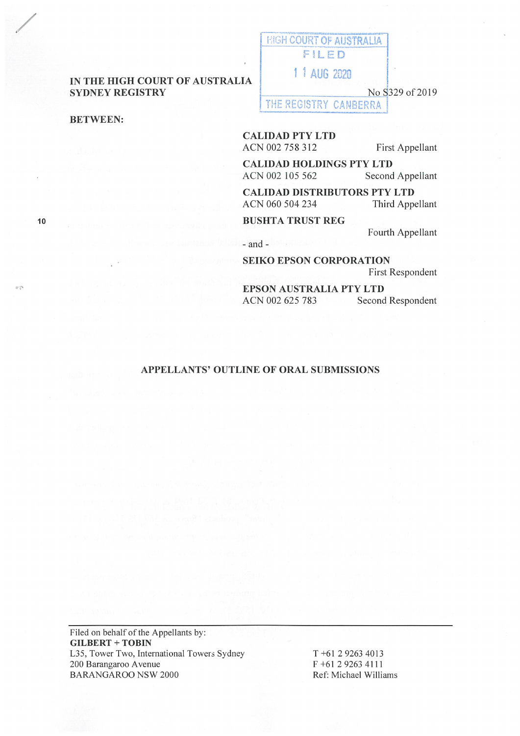## **IN THE HIGH COURT OF AUSTRALIA SYDNEY REGISTRY**

**BETWEEN:** 

/

**10** 

HIGH COURT OF AUSTRALIA **F~LED -1**  1 1 AUG 2020

No S329 of 2019

THE REGISTRY CANBERRA

**CALIDAD PTY LTD**  ACN 002 758 312 First Appellant

**CALIDAD HOLDINGS PTY LTD**  ACN 002 105 562 Second Appellant

**CALIDAD DISTRIBUTORS PTY LTD**  Third Appellant

**BUSHTA TRUST REG** 

Fourth Appellant

- and -

**SEIKO EPSON CORPORATION**  First Respondent

**EPSON AUSTRALIA PTY LTD**  ACN 002 625 783 Second Respondent

## **APPELLANTS' OUTLINE OF ORAL SUBMISSIONS**

Filed on behalf of the Appellants by: **GILBERT** + **TOBIN**  L35, Tower Two, International Towers Sydney 200 Barangaroo A venue BARANGAROO NSW 2000

T +61 2 9263 4013 F +61 2 9263 4111 Ref: Michael Williams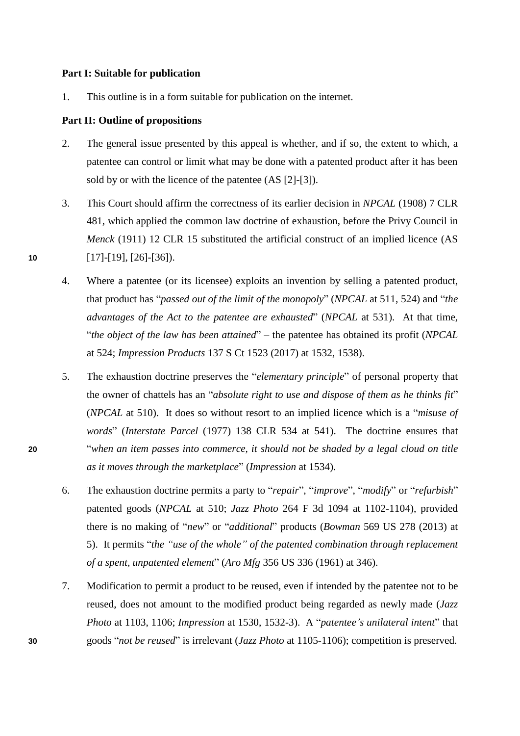## **Part I: Suitable for publication**

1. This outline is in a form suitable for publication on the internet.

## **Part II: Outline of propositions**

- 2. The general issue presented by this appeal is whether, and if so, the extent to which, a patentee can control or limit what may be done with a patented product after it has been sold by or with the licence of the patentee (AS [2]-[3]).
- 3. This Court should affirm the correctness of its earlier decision in *NPCAL* (1908) 7 CLR 481, which applied the common law doctrine of exhaustion, before the Privy Council in *Menck* (1911) 12 CLR 15 substituted the artificial construct of an implied licence (AS **10** [17]-[19], [26]-[36]).
	- 4. Where a patentee (or its licensee) exploits an invention by selling a patented product, that product has "*passed out of the limit of the monopoly*" (*NPCAL* at 511, 524) and "*the advantages of the Act to the patentee are exhausted*" (*NPCAL* at 531). At that time, "*the object of the law has been attained*" – the patentee has obtained its profit (*NPCAL* at 524; *Impression Products* 137 S Ct 1523 (2017) at 1532, 1538).
- 5. The exhaustion doctrine preserves the "*elementary principle*" of personal property that the owner of chattels has an "*absolute right to use and dispose of them as he thinks fit*" (*NPCAL* at 510). It does so without resort to an implied licence which is a "*misuse of words*" (*Interstate Parcel* (1977) 138 CLR 534 at 541). The doctrine ensures that **20** "*when an item passes into commerce, it should not be shaded by a legal cloud on title as it moves through the marketplace*" (*Impression* at 1534).
	- 6. The exhaustion doctrine permits a party to "*repair*", "*improve*", "*modify*" or "*refurbish*" patented goods (*NPCAL* at 510; *Jazz Photo* 264 F 3d 1094 at 1102-1104), provided there is no making of "*new*" or "*additional*" products (*Bowman* 569 US 278 (2013) at 5). It permits "*the "use of the whole" of the patented combination through replacement of a spent, unpatented element*" (*Aro Mfg* 356 US 336 (1961) at 346).
- 7. Modification to permit a product to be reused, even if intended by the patentee not to be reused, does not amount to the modified product being regarded as newly made (*Jazz Photo* at 1103, 1106; *Impression* at 1530, 1532-3). A "*patentee's unilateral intent*" that **30** goods "*not be reused*" is irrelevant (*Jazz Photo* at 1105-1106); competition is preserved.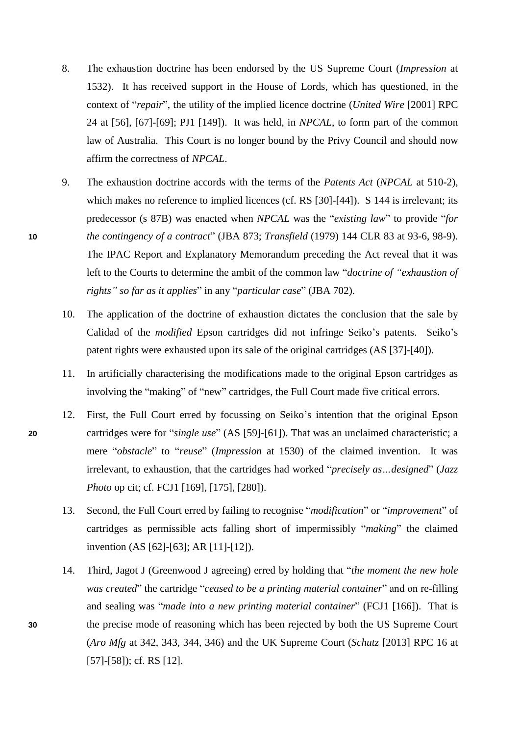- 8. The exhaustion doctrine has been endorsed by the US Supreme Court (*Impression* at 1532). It has received support in the House of Lords, which has questioned, in the context of "*repair*", the utility of the implied licence doctrine (*United Wire* [2001] RPC 24 at [56], [67]-[69]; PJ1 [149]). It was held, in *NPCAL*, to form part of the common law of Australia. This Court is no longer bound by the Privy Council and should now affirm the correctness of *NPCAL*.
- 9. The exhaustion doctrine accords with the terms of the *Patents Act* (*NPCAL* at 510-2), which makes no reference to implied licences (cf. RS [30]-[44]). S 144 is irrelevant; its predecessor (s 87B) was enacted when *NPCAL* was the "*existing law*" to provide "*for*  **10** *the contingency of a contract*" (JBA 873; *Transfield* (1979) 144 CLR 83 at 93-6, 98-9). The IPAC Report and Explanatory Memorandum preceding the Act reveal that it was left to the Courts to determine the ambit of the common law "*doctrine of "exhaustion of rights" so far as it applies*" in any "*particular case*" (JBA 702).
	- 10. The application of the doctrine of exhaustion dictates the conclusion that the sale by Calidad of the *modified* Epson cartridges did not infringe Seiko's patents. Seiko's patent rights were exhausted upon its sale of the original cartridges (AS [37]-[40]).
	- 11. In artificially characterising the modifications made to the original Epson cartridges as involving the "making" of "new" cartridges, the Full Court made five critical errors.
- 12. First, the Full Court erred by focussing on Seiko's intention that the original Epson **20** cartridges were for "*single use*" (AS [59]-[61]). That was an unclaimed characteristic; a mere "*obstacle*" to "*reuse*" (*Impression* at 1530) of the claimed invention. It was irrelevant, to exhaustion, that the cartridges had worked "*precisely as…designed*" (*Jazz Photo* op cit; cf. FCJ1 [169], [175], [280]).
	- 13. Second, the Full Court erred by failing to recognise "*modification*" or "*improvement*" of cartridges as permissible acts falling short of impermissibly "*making*" the claimed invention (AS [62]-[63]; AR [11]-[12]).
- 14. Third, Jagot J (Greenwood J agreeing) erred by holding that "*the moment the new hole was created*" the cartridge "*ceased to be a printing material container*" and on re-filling and sealing was "*made into a new printing material container*" (FCJ1 [166]). That is **30** the precise mode of reasoning which has been rejected by both the US Supreme Court (*Aro Mfg* at 342, 343, 344, 346) and the UK Supreme Court (*Schutz* [2013] RPC 16 at [57]-[58]); cf. RS [12].